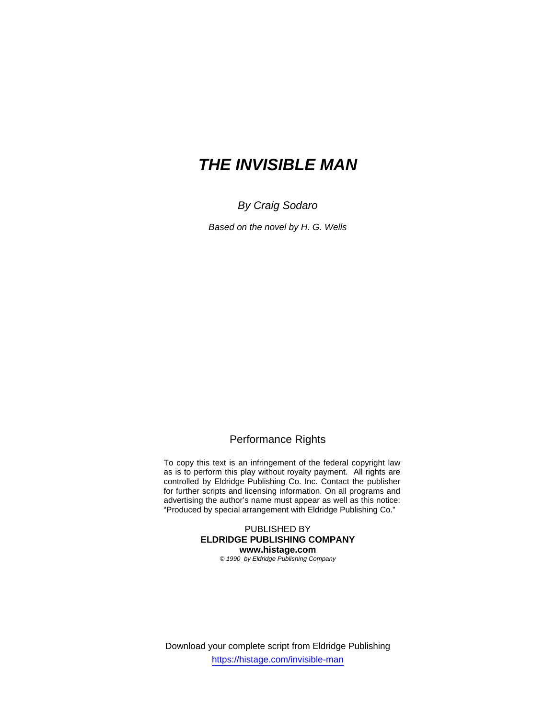# *THE INVISIBLE MAN*

*By Craig Sodaro* 

*Based on the novel by H. G. Wells* 

## Performance Rights

To copy this text is an infringement of the federal copyright law as is to perform this play without royalty payment. All rights are controlled by Eldridge Publishing Co. Inc. Contact the publisher for further scripts and licensing information. On all programs and advertising the author's name must appear as well as this notice: "Produced by special arrangement with Eldridge Publishing Co."

> PUBLISHED BY **ELDRIDGE PUBLISHING COMPANY www.histage.com**

*© 1990 by Eldridge Publishing Company*

Download your complete script from Eldridge Publishing https://histage.com/invisible-man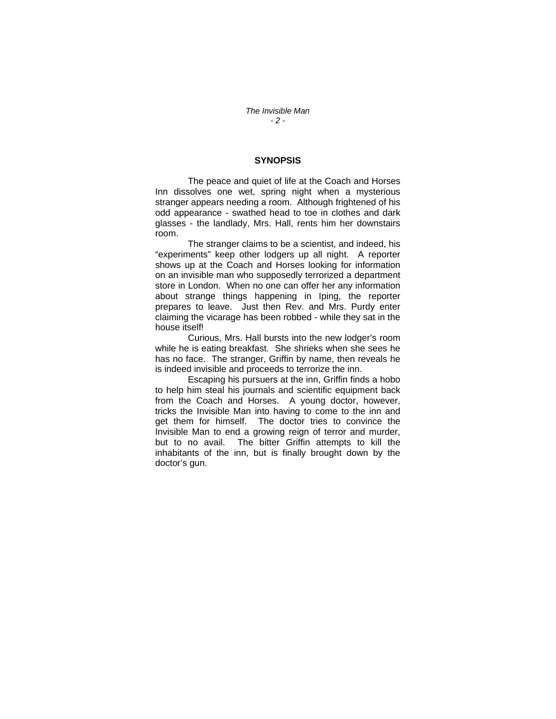#### **SYNOPSIS**

 The peace and quiet of life at the Coach and Horses Inn dissolves one wet, spring night when a mysterious stranger appears needing a room. Although frightened of his odd appearance - swathed head to toe in clothes and dark glasses - the landlady, Mrs. Hall, rents him her downstairs room.

 The stranger claims to be a scientist, and indeed, his "experiments" keep other lodgers up all night. A reporter shows up at the Coach and Horses looking for information on an invisible man who supposedly terrorized a department store in London. When no one can offer her any information about strange things happening in Iping, the reporter prepares to leave. Just then Rev. and Mrs. Purdy enter claiming the vicarage has been robbed - while they sat in the house itself!

 Curious, Mrs. Hall bursts into the new lodger's room while he is eating breakfast. She shrieks when she sees he has no face. The stranger, Griffin by name, then reveals he is indeed invisible and proceeds to terrorize the inn.

 Escaping his pursuers at the inn, Griffin finds a hobo to help him steal his journals and scientific equipment back from the Coach and Horses. A young doctor, however, tricks the Invisible Man into having to come to the inn and get them for himself. The doctor tries to convince the Invisible Man to end a growing reign of terror and murder, but to no avail. The bitter Griffin attempts to kill the inhabitants of the inn, but is finally brought down by the doctor's gun.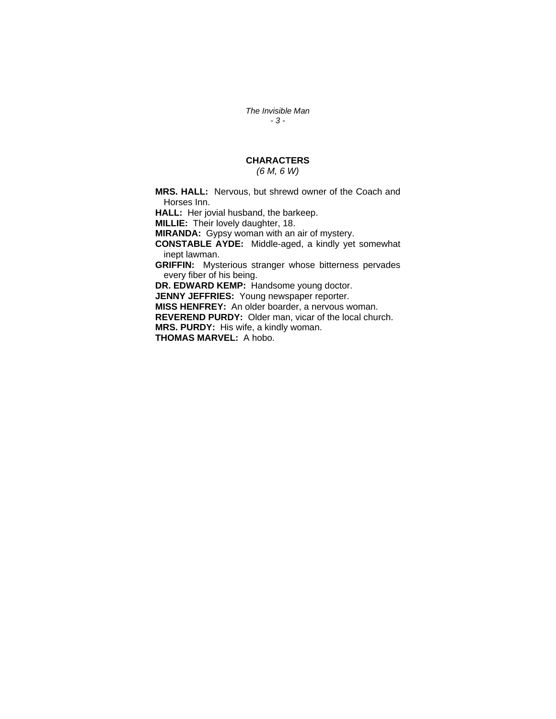*The Invisible Man - 3 -* 

## **CHARACTERS**

## *(6 M, 6 W)*

**MRS. HALL:** Nervous, but shrewd owner of the Coach and Horses Inn.

**HALL:** Her jovial husband, the barkeep.

**MILLIE:** Their lovely daughter, 18.

**MIRANDA:** Gypsy woman with an air of mystery.

**CONSTABLE AYDE:** Middle-aged, a kindly yet somewhat inept lawman.

**GRIFFIN:** Mysterious stranger whose bitterness pervades every fiber of his being.

**DR. EDWARD KEMP:** Handsome young doctor.

**JENNY JEFFRIES:** Young newspaper reporter.

**MISS HENFREY:** An older boarder, a nervous woman.

**REVEREND PURDY:** Older man, vicar of the local church.

**MRS. PURDY:** His wife, a kindly woman.

**THOMAS MARVEL:** A hobo.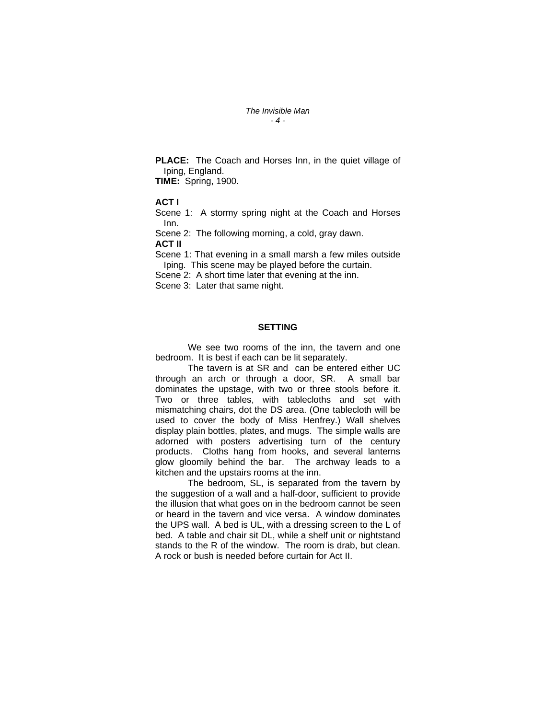#### *The Invisible Man - 4 -*

**PLACE:** The Coach and Horses Inn, in the quiet village of Iping, England.

**TIME:** Spring, 1900.

#### **ACT I**

Scene 1: A stormy spring night at the Coach and Horses Inn.

Scene 2:The following morning, a cold, gray dawn. **ACT II**

Scene 1: That evening in a small marsh a few miles outside Iping. This scene may be played before the curtain.

Scene 2:A short time later that evening at the inn.

Scene 3:Later that same night.

#### **SETTING**

 We see two rooms of the inn, the tavern and one bedroom. It is best if each can be lit separately.

 The tavern is at SR and can be entered either UC through an arch or through a door, SR. A small bar dominates the upstage, with two or three stools before it. Two or three tables, with tablecloths and set with mismatching chairs, dot the DS area. (One tablecloth will be used to cover the body of Miss Henfrey.) Wall shelves display plain bottles, plates, and mugs. The simple walls are adorned with posters advertising turn of the century products. Cloths hang from hooks, and several lanterns glow gloomily behind the bar. The archway leads to a kitchen and the upstairs rooms at the inn.

 The bedroom, SL, is separated from the tavern by the suggestion of a wall and a half-door, sufficient to provide the illusion that what goes on in the bedroom cannot be seen or heard in the tavern and vice versa. A window dominates the UPS wall. A bed is UL, with a dressing screen to the L of bed. A table and chair sit DL, while a shelf unit or nightstand stands to the R of the window. The room is drab, but clean. A rock or bush is needed before curtain for Act II.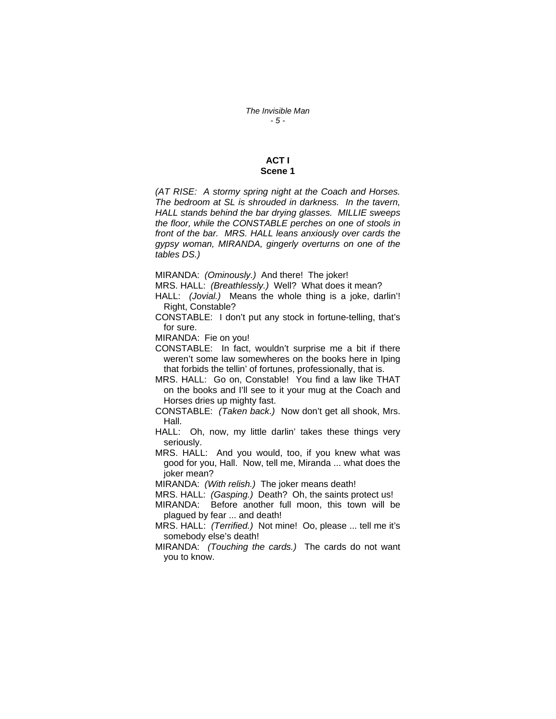#### **ACT I Scene 1**

*(AT RISE: A stormy spring night at the Coach and Horses. The bedroom at SL is shrouded in darkness. In the tavern, HALL stands behind the bar drying glasses. MILLIE sweeps the floor, while the CONSTABLE perches on one of stools in front of the bar. MRS. HALL leans anxiously over cards the gypsy woman, MIRANDA, gingerly overturns on one of the tables DS.)* 

MIRANDA: *(Ominously.)* And there! The joker!

MRS. HALL: *(Breathlessly.)* Well? What does it mean?

HALL: *(Jovial.)* Means the whole thing is a joke, darlin'! Right, Constable?

CONSTABLE: I don't put any stock in fortune-telling, that's for sure.

MIRANDA: Fie on you!

CONSTABLE: In fact, wouldn't surprise me a bit if there weren't some law somewheres on the books here in Iping that forbids the tellin' of fortunes, professionally, that is.

MRS. HALL: Go on, Constable! You find a law like THAT on the books and I'll see to it your mug at the Coach and Horses dries up mighty fast.

CONSTABLE: *(Taken back.)* Now don't get all shook, Mrs. Hall.

HALL: Oh, now, my little darlin' takes these things very seriously.

MRS. HALL: And you would, too, if you knew what was good for you, Hall. Now, tell me, Miranda ... what does the joker mean?

MIRANDA: *(With relish.)* The joker means death!

MRS. HALL: *(Gasping.)* Death? Oh, the saints protect us!

MIRANDA: Before another full moon, this town will be plagued by fear ... and death!

MRS. HALL: *(Terrified.)* Not mine! Oo, please ... tell me it's somebody else's death!

MIRANDA: *(Touching the cards.)* The cards do not want you to know.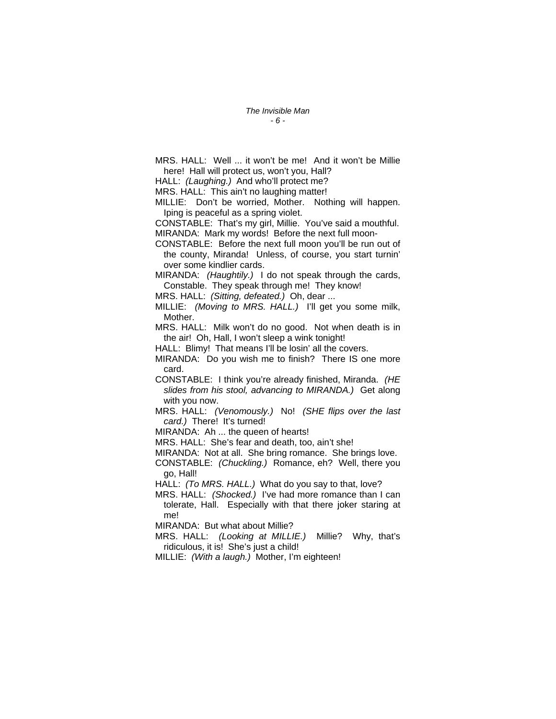MRS. HALL: Well ... it won't be me! And it won't be Millie here! Hall will protect us, won't you, Hall?

HALL: *(Laughing.)* And who'll protect me?

MRS. HALL: This ain't no laughing matter!

MILLIE: Don't be worried, Mother. Nothing will happen. Iping is peaceful as a spring violet.

CONSTABLE: That's my girl, Millie. You've said a mouthful. MIRANDA: Mark my words! Before the next full moon-

CONSTABLE: Before the next full moon you'll be run out of the county, Miranda! Unless, of course, you start turnin' over some kindlier cards.

MIRANDA: *(Haughtily.)* I do not speak through the cards, Constable. They speak through me! They know!

MRS. HALL: *(Sitting, defeated.)* Oh, dear ...

MILLIE: *(Moving to MRS. HALL.)* I'll get you some milk, Mother.

MRS. HALL: Milk won't do no good. Not when death is in the air! Oh, Hall, I won't sleep a wink tonight!

HALL: Blimy! That means I'll be losin' all the covers.

MIRANDA: Do you wish me to finish? There IS one more card.

CONSTABLE: I think you're already finished, Miranda. *(HE slides from his stool, advancing to MIRANDA.)* Get along with you now.

MRS. HALL: *(Venomously.)* No! *(SHE flips over the last card.)* There! It's turned!

MIRANDA: Ah ... the queen of hearts!

MRS. HALL: She's fear and death, too, ain't she!

MIRANDA: Not at all. She bring romance. She brings love.

CONSTABLE: *(Chuckling.)* Romance, eh? Well, there you go, Hall!

HALL: *(To MRS. HALL.)* What do you say to that, love?

MRS. HALL: *(Shocked.)* I've had more romance than I can tolerate, Hall. Especially with that there joker staring at me!

MIRANDA: But what about Millie?

MRS. HALL: *(Looking at MILLIE.)* Millie? Why, that's ridiculous, it is! She's just a child!

MILLIE: *(With a laugh.)* Mother, I'm eighteen!